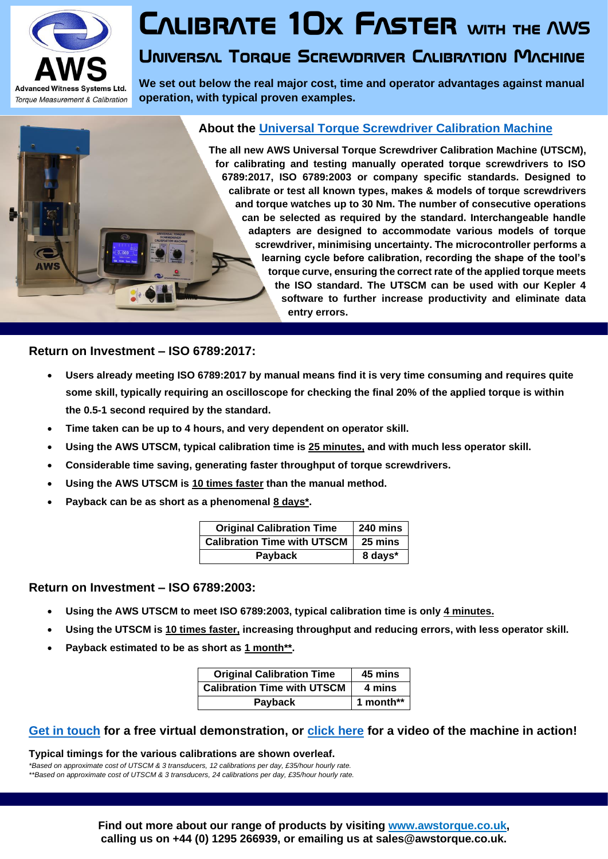

## **Calibrate 10x Faster with the AWS**

## **Universal Torque Screwdriver Calibration Machine**

**We set out below the real major cost, time and operator advantages against manual operation, with typical proven examples.**



**The all new AWS Universal Torque Screwdriver Calibration Machine (UTSCM), for calibrating and testing manually operated torque screwdrivers to ISO 6789:2017, ISO 6789:2003 or company specific standards. Designed to calibrate or test all known types, makes & models of torque screwdrivers and torque watches up to 30 Nm. The number of consecutive operations can be selected as required by the standard. Interchangeable handle adapters are designed to accommodate various models of torque screwdriver, minimising uncertainty. The microcontroller performs a learning cycle before calibration, recording the shape of the tool's torque curve, ensuring the correct rate of the applied torque meets the ISO standard. The UTSCM can be used with our Kepler 4 software to further increase productivity and eliminate data entry errors.**

**Return on Investment – ISO 6789:2017:**

- **Users already meeting ISO 6789:2017 by manual means find it is very time consuming and requires quite some skill, typically requiring an oscilloscope for checking the final 20% of the applied torque is within the 0.5-1 second required by the standard.**
- **Time taken can be up to 4 hours, and very dependent on operator skill.**
- **Using the AWS UTSCM, typical calibration time is 25 minutes, and with much less operator skill.**
- **Considerable time saving, generating faster throughput of torque screwdrivers.**
- **Using the AWS UTSCM is 10 times faster than the manual method.**
- **Payback can be as short as a phenomenal 8 days\*.**

| <b>Original Calibration Time</b>   | 240 mins |
|------------------------------------|----------|
| <b>Calibration Time with UTSCM</b> | 25 mins  |
| <b>Payback</b>                     | 8 days*  |

#### **Return on Investment – ISO 6789:2003:**

- **Using the AWS UTSCM to meet ISO 6789:2003, typical calibration time is only 4 minutes.**
- **Using the UTSCM is 10 times faster, increasing throughput and reducing errors, with less operator skill.**
- **Payback estimated to be as short as 1 month\*\*.**

| <b>Original Calibration Time</b>   | 45 mins   |
|------------------------------------|-----------|
| <b>Calibration Time with UTSCM</b> | 4 mins    |
| Payback                            | 1 month** |

#### **[Get in touch](http://awstorque.co.uk/contact.html) for a free virtual demonstration, or [click here](https://youtu.be/TWGYR9l-m-0) for a video of the machine in action!**

**Typical timings for the various calibrations are shown overleaf.**

*\*Based on approximate cost of UTSCM & 3 transducers, 12 calibrations per day, £35/hour hourly rate. \*\*Based on approximate cost of UTSCM & 3 transducers, 24 calibrations per day, £35/hour hourly rate.*